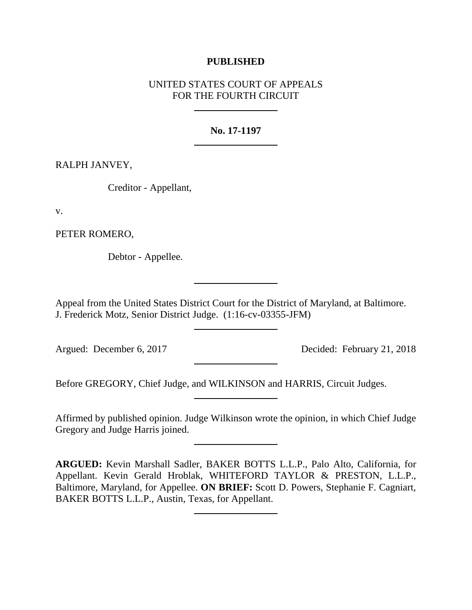# **PUBLISHED**

# UNITED STATES COURT OF APPEALS FOR THE FOURTH CIRCUIT

# **No. 17-1197**

RALPH JANVEY,

Creditor - Appellant,

v.

PETER ROMERO,

Debtor - Appellee.

Appeal from the United States District Court for the District of Maryland, at Baltimore. J. Frederick Motz, Senior District Judge. (1:16-cv-03355-JFM)

Argued: December 6, 2017 Decided: February 21, 2018

Before GREGORY, Chief Judge, and WILKINSON and HARRIS, Circuit Judges.

Affirmed by published opinion. Judge Wilkinson wrote the opinion, in which Chief Judge Gregory and Judge Harris joined.

**ARGUED:** Kevin Marshall Sadler, BAKER BOTTS L.L.P., Palo Alto, California, for Appellant. Kevin Gerald Hroblak, WHITEFORD TAYLOR & PRESTON, L.L.P., Baltimore, Maryland, for Appellee. **ON BRIEF:** Scott D. Powers, Stephanie F. Cagniart, BAKER BOTTS L.L.P., Austin, Texas, for Appellant.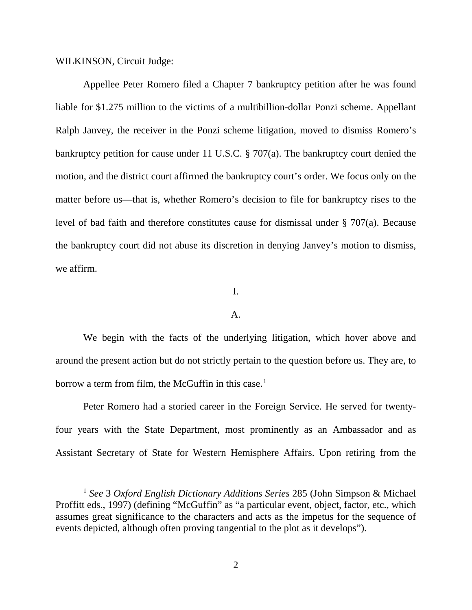WILKINSON, Circuit Judge:

Appellee Peter Romero filed a Chapter 7 bankruptcy petition after he was found liable for \$1.275 million to the victims of a multibillion-dollar Ponzi scheme. Appellant Ralph Janvey, the receiver in the Ponzi scheme litigation, moved to dismiss Romero's bankruptcy petition for cause under 11 U.S.C. § 707(a). The bankruptcy court denied the motion, and the district court affirmed the bankruptcy court's order. We focus only on the matter before us—that is, whether Romero's decision to file for bankruptcy rises to the level of bad faith and therefore constitutes cause for dismissal under § 707(a). Because the bankruptcy court did not abuse its discretion in denying Janvey's motion to dismiss, we affirm.

#### I.

#### A.

We begin with the facts of the underlying litigation, which hover above and around the present action but do not strictly pertain to the question before us. They are, to borrow a term from film, the McGuffin in this case.<sup>[1](#page-1-0)</sup>

Peter Romero had a storied career in the Foreign Service. He served for twentyfour years with the State Department, most prominently as an Ambassador and as Assistant Secretary of State for Western Hemisphere Affairs. Upon retiring from the

<span id="page-1-0"></span> <sup>1</sup> *See* 3 *Oxford English Dictionary Additions Series* 285 (John Simpson & Michael Proffitt eds., 1997) (defining "McGuffin" as "a particular event, object, factor, etc., which assumes great significance to the characters and acts as the impetus for the sequence of events depicted, although often proving tangential to the plot as it develops").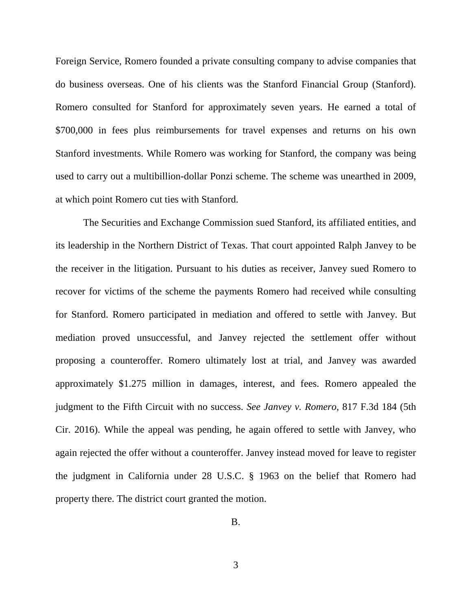Foreign Service, Romero founded a private consulting company to advise companies that do business overseas. One of his clients was the Stanford Financial Group (Stanford). Romero consulted for Stanford for approximately seven years. He earned a total of \$700,000 in fees plus reimbursements for travel expenses and returns on his own Stanford investments. While Romero was working for Stanford, the company was being used to carry out a multibillion-dollar Ponzi scheme. The scheme was unearthed in 2009, at which point Romero cut ties with Stanford.

The Securities and Exchange Commission sued Stanford, its affiliated entities, and its leadership in the Northern District of Texas. That court appointed Ralph Janvey to be the receiver in the litigation. Pursuant to his duties as receiver, Janvey sued Romero to recover for victims of the scheme the payments Romero had received while consulting for Stanford. Romero participated in mediation and offered to settle with Janvey. But mediation proved unsuccessful, and Janvey rejected the settlement offer without proposing a counteroffer. Romero ultimately lost at trial, and Janvey was awarded approximately \$1.275 million in damages, interest, and fees. Romero appealed the judgment to the Fifth Circuit with no success. *See Janvey v. Romero*, 817 F.3d 184 (5th Cir. 2016). While the appeal was pending, he again offered to settle with Janvey, who again rejected the offer without a counteroffer. Janvey instead moved for leave to register the judgment in California under 28 U.S.C. § 1963 on the belief that Romero had property there. The district court granted the motion.

B.

3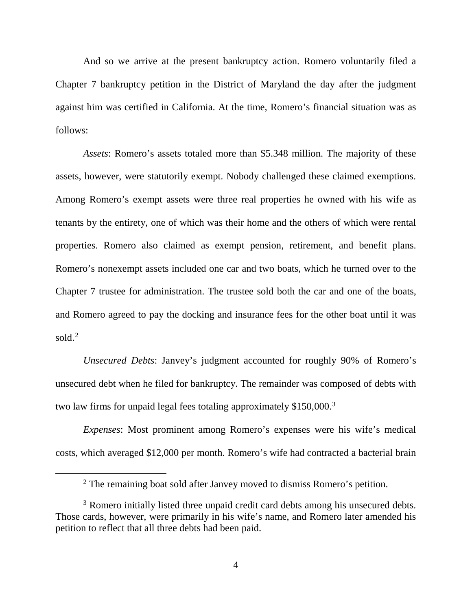And so we arrive at the present bankruptcy action. Romero voluntarily filed a Chapter 7 bankruptcy petition in the District of Maryland the day after the judgment against him was certified in California. At the time, Romero's financial situation was as follows:

*Assets*: Romero's assets totaled more than \$5.348 million. The majority of these assets, however, were statutorily exempt. Nobody challenged these claimed exemptions. Among Romero's exempt assets were three real properties he owned with his wife as tenants by the entirety, one of which was their home and the others of which were rental properties. Romero also claimed as exempt pension, retirement, and benefit plans. Romero's nonexempt assets included one car and two boats, which he turned over to the Chapter 7 trustee for administration. The trustee sold both the car and one of the boats, and Romero agreed to pay the docking and insurance fees for the other boat until it was sold. $2$ 

*Unsecured Debts*: Janvey's judgment accounted for roughly 90% of Romero's unsecured debt when he filed for bankruptcy. The remainder was composed of debts with two law firms for unpaid legal fees totaling approximately \$150,000.<sup>[3](#page-3-1)</sup>

*Expenses*: Most prominent among Romero's expenses were his wife's medical costs, which averaged \$12,000 per month. Romero's wife had contracted a bacterial brain

<sup>&</sup>lt;sup>2</sup> The remaining boat sold after Janvey moved to dismiss Romero's petition.

<span id="page-3-1"></span><span id="page-3-0"></span><sup>&</sup>lt;sup>3</sup> Romero initially listed three unpaid credit card debts among his unsecured debts. Those cards, however, were primarily in his wife's name, and Romero later amended his petition to reflect that all three debts had been paid.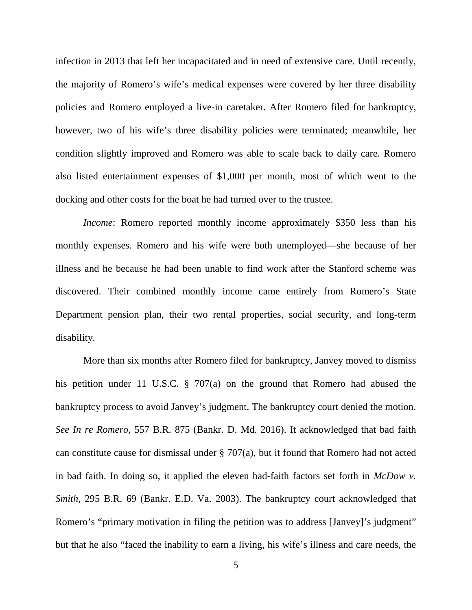infection in 2013 that left her incapacitated and in need of extensive care. Until recently, the majority of Romero's wife's medical expenses were covered by her three disability policies and Romero employed a live-in caretaker. After Romero filed for bankruptcy, however, two of his wife's three disability policies were terminated; meanwhile, her condition slightly improved and Romero was able to scale back to daily care. Romero also listed entertainment expenses of \$1,000 per month, most of which went to the docking and other costs for the boat he had turned over to the trustee.

*Income*: Romero reported monthly income approximately \$350 less than his monthly expenses. Romero and his wife were both unemployed—she because of her illness and he because he had been unable to find work after the Stanford scheme was discovered. Their combined monthly income came entirely from Romero's State Department pension plan, their two rental properties, social security, and long-term disability.

More than six months after Romero filed for bankruptcy, Janvey moved to dismiss his petition under 11 U.S.C. § 707(a) on the ground that Romero had abused the bankruptcy process to avoid Janvey's judgment. The bankruptcy court denied the motion. *See In re Romero*, 557 B.R. 875 (Bankr. D. Md. 2016). It acknowledged that bad faith can constitute cause for dismissal under § 707(a), but it found that Romero had not acted in bad faith. In doing so, it applied the eleven bad-faith factors set forth in *McDow v. Smith*, 295 B.R. 69 (Bankr. E.D. Va. 2003). The bankruptcy court acknowledged that Romero's "primary motivation in filing the petition was to address [Janvey]'s judgment" but that he also "faced the inability to earn a living, his wife's illness and care needs, the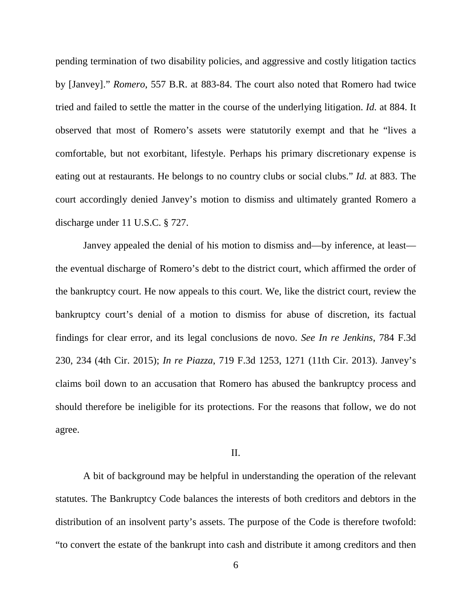pending termination of two disability policies, and aggressive and costly litigation tactics by [Janvey]." *Romero*, 557 B.R. at 883-84. The court also noted that Romero had twice tried and failed to settle the matter in the course of the underlying litigation. *Id.* at 884. It observed that most of Romero's assets were statutorily exempt and that he "lives a comfortable, but not exorbitant, lifestyle. Perhaps his primary discretionary expense is eating out at restaurants. He belongs to no country clubs or social clubs." *Id.* at 883. The court accordingly denied Janvey's motion to dismiss and ultimately granted Romero a discharge under 11 U.S.C. § 727.

Janvey appealed the denial of his motion to dismiss and—by inference, at least the eventual discharge of Romero's debt to the district court, which affirmed the order of the bankruptcy court. He now appeals to this court. We, like the district court, review the bankruptcy court's denial of a motion to dismiss for abuse of discretion, its factual findings for clear error, and its legal conclusions de novo. *See In re Jenkins*, 784 F.3d 230, 234 (4th Cir. 2015); *In re Piazza*, 719 F.3d 1253, 1271 (11th Cir. 2013). Janvey's claims boil down to an accusation that Romero has abused the bankruptcy process and should therefore be ineligible for its protections. For the reasons that follow, we do not agree.

#### II.

A bit of background may be helpful in understanding the operation of the relevant statutes. The Bankruptcy Code balances the interests of both creditors and debtors in the distribution of an insolvent party's assets. The purpose of the Code is therefore twofold: "to convert the estate of the bankrupt into cash and distribute it among creditors and then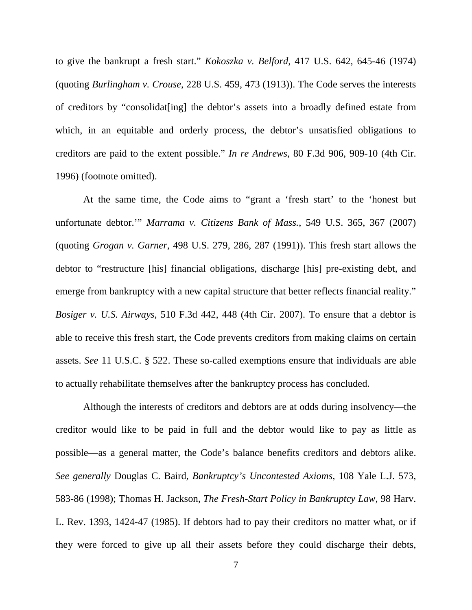to give the bankrupt a fresh start." *Kokoszka v. Belford*, 417 U.S. 642, 645-46 (1974) (quoting *Burlingham v. Crouse*, 228 U.S. 459, 473 (1913)). The Code serves the interests of creditors by "consolidat[ing] the debtor's assets into a broadly defined estate from which, in an equitable and orderly process, the debtor's unsatisfied obligations to creditors are paid to the extent possible." *In re Andrews*, 80 F.3d 906, 909-10 (4th Cir. 1996) (footnote omitted).

At the same time, the Code aims to "grant a 'fresh start' to the 'honest but unfortunate debtor.'" *Marrama v. Citizens Bank of Mass.*, 549 U.S. 365, 367 (2007) (quoting *Grogan v. Garner*, 498 U.S. 279, 286, 287 (1991)). This fresh start allows the debtor to "restructure [his] financial obligations, discharge [his] pre-existing debt, and emerge from bankruptcy with a new capital structure that better reflects financial reality." *Bosiger v. U.S. Airways*, 510 F.3d 442, 448 (4th Cir. 2007). To ensure that a debtor is able to receive this fresh start, the Code prevents creditors from making claims on certain assets. *See* 11 U.S.C. § 522. These so-called exemptions ensure that individuals are able to actually rehabilitate themselves after the bankruptcy process has concluded.

Although the interests of creditors and debtors are at odds during insolvency—the creditor would like to be paid in full and the debtor would like to pay as little as possible—as a general matter, the Code's balance benefits creditors and debtors alike. *See generally* Douglas C. Baird, *Bankruptcy's Uncontested Axioms*, 108 Yale L.J. 573, 583-86 (1998); Thomas H. Jackson, *The Fresh-Start Policy in Bankruptcy Law*, 98 Harv. L. Rev. 1393, 1424-47 (1985). If debtors had to pay their creditors no matter what, or if they were forced to give up all their assets before they could discharge their debts,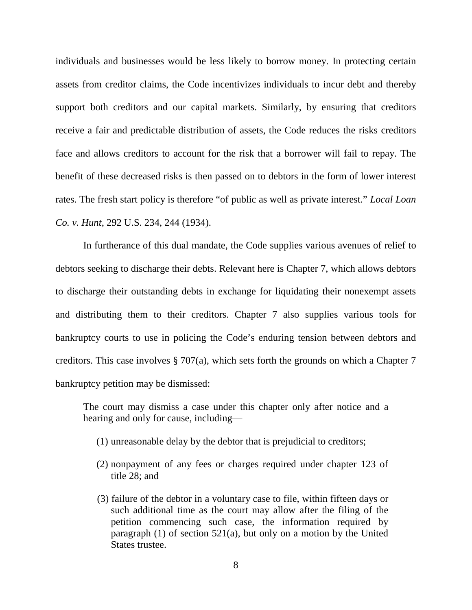individuals and businesses would be less likely to borrow money. In protecting certain assets from creditor claims, the Code incentivizes individuals to incur debt and thereby support both creditors and our capital markets. Similarly, by ensuring that creditors receive a fair and predictable distribution of assets, the Code reduces the risks creditors face and allows creditors to account for the risk that a borrower will fail to repay. The benefit of these decreased risks is then passed on to debtors in the form of lower interest rates. The fresh start policy is therefore "of public as well as private interest." *Local Loan Co. v. Hunt*, 292 U.S. 234, 244 (1934).

In furtherance of this dual mandate, the Code supplies various avenues of relief to debtors seeking to discharge their debts. Relevant here is Chapter 7, which allows debtors to discharge their outstanding debts in exchange for liquidating their nonexempt assets and distributing them to their creditors. Chapter 7 also supplies various tools for bankruptcy courts to use in policing the Code's enduring tension between debtors and creditors. This case involves § 707(a), which sets forth the grounds on which a Chapter 7 bankruptcy petition may be dismissed:

The court may dismiss a case under this chapter only after notice and a hearing and only for cause, including—

- (1) unreasonable delay by the debtor that is prejudicial to creditors;
- (2) nonpayment of any fees or charges required under chapter 123 of title 28; and
- (3) failure of the debtor in a voluntary case to file, within fifteen days or such additional time as the court may allow after the filing of the petition commencing such case, the information required by paragraph (1) of section 521(a), but only on a motion by the United States trustee.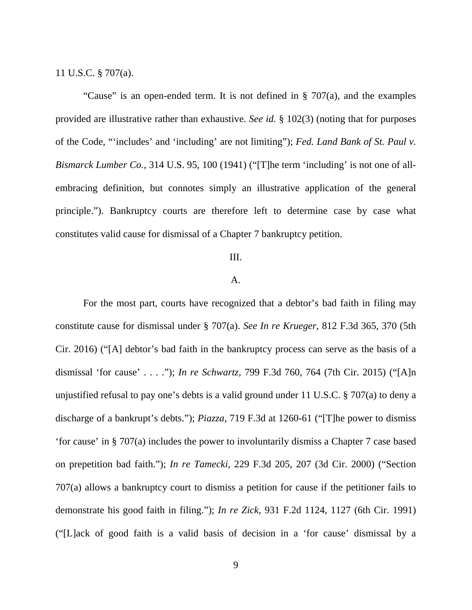11 U.S.C. § 707(a).

"Cause" is an open-ended term. It is not defined in  $\S$  707(a), and the examples provided are illustrative rather than exhaustive. *See id.* § 102(3) (noting that for purposes of the Code, "'includes' and 'including' are not limiting"); *Fed. Land Bank of St. Paul v. Bismarck Lumber Co.*, 314 U.S. 95, 100 (1941) ("[T]he term 'including' is not one of allembracing definition, but connotes simply an illustrative application of the general principle."). Bankruptcy courts are therefore left to determine case by case what constitutes valid cause for dismissal of a Chapter 7 bankruptcy petition.

#### III.

### A.

For the most part, courts have recognized that a debtor's bad faith in filing may constitute cause for dismissal under § 707(a). *See In re Krueger*, 812 F.3d 365, 370 (5th Cir. 2016) ("[A] debtor's bad faith in the bankruptcy process can serve as the basis of a dismissal 'for cause' . . . ."); *In re Schwartz*, 799 F.3d 760, 764 (7th Cir. 2015) ("[A]n unjustified refusal to pay one's debts is a valid ground under 11 U.S.C. § 707(a) to deny a discharge of a bankrupt's debts."); *Piazza*, 719 F.3d at 1260-61 ("[T]he power to dismiss 'for cause' in § 707(a) includes the power to involuntarily dismiss a Chapter 7 case based on prepetition bad faith."); *In re Tamecki*, 229 F.3d 205, 207 (3d Cir. 2000) ("Section 707(a) allows a bankruptcy court to dismiss a petition for cause if the petitioner fails to demonstrate his good faith in filing."); *In re Zick*, 931 F.2d 1124, 1127 (6th Cir. 1991) ("[L]ack of good faith is a valid basis of decision in a 'for cause' dismissal by a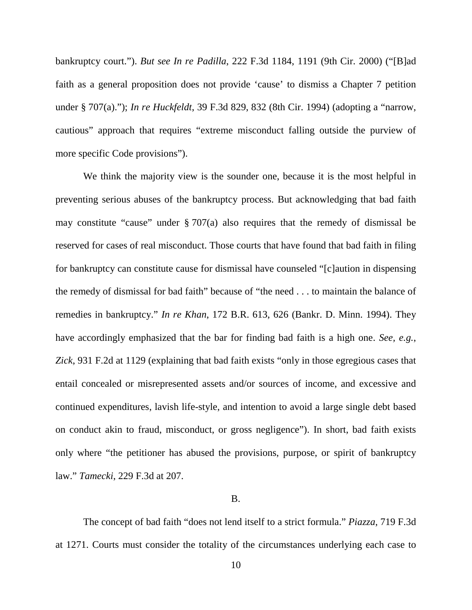bankruptcy court."). *But see In re Padilla*, 222 F.3d 1184, 1191 (9th Cir. 2000) ("[B]ad faith as a general proposition does not provide 'cause' to dismiss a Chapter 7 petition under § 707(a)."); *In re Huckfeldt*, 39 F.3d 829, 832 (8th Cir. 1994) (adopting a "narrow, cautious" approach that requires "extreme misconduct falling outside the purview of more specific Code provisions").

We think the majority view is the sounder one, because it is the most helpful in preventing serious abuses of the bankruptcy process. But acknowledging that bad faith may constitute "cause" under § 707(a) also requires that the remedy of dismissal be reserved for cases of real misconduct. Those courts that have found that bad faith in filing for bankruptcy can constitute cause for dismissal have counseled "[c]aution in dispensing the remedy of dismissal for bad faith" because of "the need . . . to maintain the balance of remedies in bankruptcy." *In re Khan*, 172 B.R. 613, 626 (Bankr. D. Minn. 1994). They have accordingly emphasized that the bar for finding bad faith is a high one. *See, e.g.*, *Zick*, 931 F.2d at 1129 (explaining that bad faith exists "only in those egregious cases that entail concealed or misrepresented assets and/or sources of income, and excessive and continued expenditures, lavish life-style, and intention to avoid a large single debt based on conduct akin to fraud, misconduct, or gross negligence"). In short, bad faith exists only where "the petitioner has abused the provisions, purpose, or spirit of bankruptcy law." *Tamecki*, 229 F.3d at 207.

#### B.

The concept of bad faith "does not lend itself to a strict formula." *Piazza*, 719 F.3d at 1271. Courts must consider the totality of the circumstances underlying each case to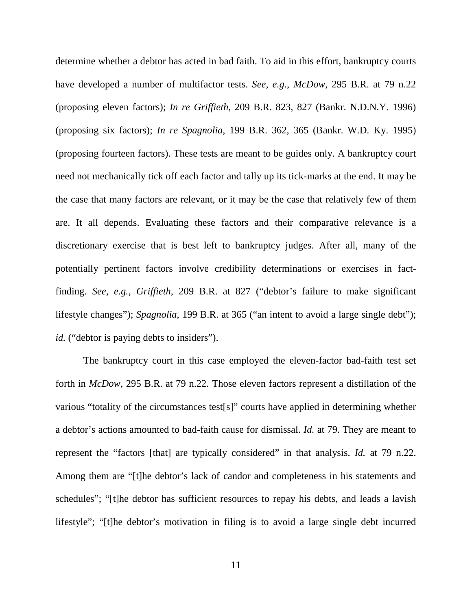determine whether a debtor has acted in bad faith. To aid in this effort, bankruptcy courts have developed a number of multifactor tests. *See, e.g.*, *McDow*, 295 B.R. at 79 n.22 (proposing eleven factors); *In re Griffieth*, 209 B.R. 823, 827 (Bankr. N.D.N.Y. 1996) (proposing six factors); *In re Spagnolia*, 199 B.R. 362, 365 (Bankr. W.D. Ky. 1995) (proposing fourteen factors). These tests are meant to be guides only. A bankruptcy court need not mechanically tick off each factor and tally up its tick-marks at the end. It may be the case that many factors are relevant, or it may be the case that relatively few of them are. It all depends. Evaluating these factors and their comparative relevance is a discretionary exercise that is best left to bankruptcy judges. After all, many of the potentially pertinent factors involve credibility determinations or exercises in factfinding. *See, e.g.*, *Griffieth*, 209 B.R. at 827 ("debtor's failure to make significant lifestyle changes"); *Spagnolia*, 199 B.R. at 365 ("an intent to avoid a large single debt"); *id.* ("debtor is paying debts to insiders").

The bankruptcy court in this case employed the eleven-factor bad-faith test set forth in *McDow*, 295 B.R. at 79 n.22. Those eleven factors represent a distillation of the various "totality of the circumstances test[s]" courts have applied in determining whether a debtor's actions amounted to bad-faith cause for dismissal. *Id.* at 79. They are meant to represent the "factors [that] are typically considered" in that analysis. *Id.* at 79 n.22. Among them are "[t]he debtor's lack of candor and completeness in his statements and schedules"; "[t]he debtor has sufficient resources to repay his debts, and leads a lavish lifestyle"; "[t]he debtor's motivation in filing is to avoid a large single debt incurred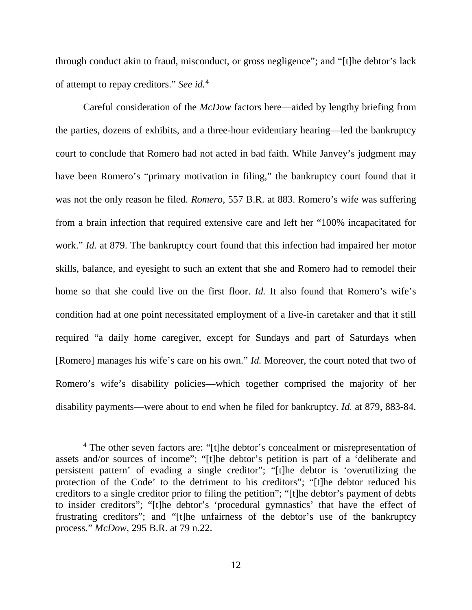through conduct akin to fraud, misconduct, or gross negligence"; and "[t]he debtor's lack of attempt to repay creditors." *See id.*[4](#page-11-0)

Careful consideration of the *McDow* factors here—aided by lengthy briefing from the parties, dozens of exhibits, and a three-hour evidentiary hearing—led the bankruptcy court to conclude that Romero had not acted in bad faith. While Janvey's judgment may have been Romero's "primary motivation in filing," the bankruptcy court found that it was not the only reason he filed. *Romero*, 557 B.R. at 883. Romero's wife was suffering from a brain infection that required extensive care and left her "100% incapacitated for work." *Id.* at 879. The bankruptcy court found that this infection had impaired her motor skills, balance, and eyesight to such an extent that she and Romero had to remodel their home so that she could live on the first floor. *Id.* It also found that Romero's wife's condition had at one point necessitated employment of a live-in caretaker and that it still required "a daily home caregiver, except for Sundays and part of Saturdays when [Romero] manages his wife's care on his own." *Id.* Moreover, the court noted that two of Romero's wife's disability policies—which together comprised the majority of her disability payments—were about to end when he filed for bankruptcy. *Id.* at 879, 883-84.

<span id="page-11-0"></span><sup>&</sup>lt;sup>4</sup> The other seven factors are: "[t]he debtor's concealment or misrepresentation of assets and/or sources of income"; "[t]he debtor's petition is part of a 'deliberate and persistent pattern' of evading a single creditor"; "[t]he debtor is 'overutilizing the protection of the Code' to the detriment to his creditors"; "[t]he debtor reduced his creditors to a single creditor prior to filing the petition"; "[t]he debtor's payment of debts to insider creditors"; "[t]he debtor's 'procedural gymnastics' that have the effect of frustrating creditors"; and "[t]he unfairness of the debtor's use of the bankruptcy process." *McDow*, 295 B.R. at 79 n.22.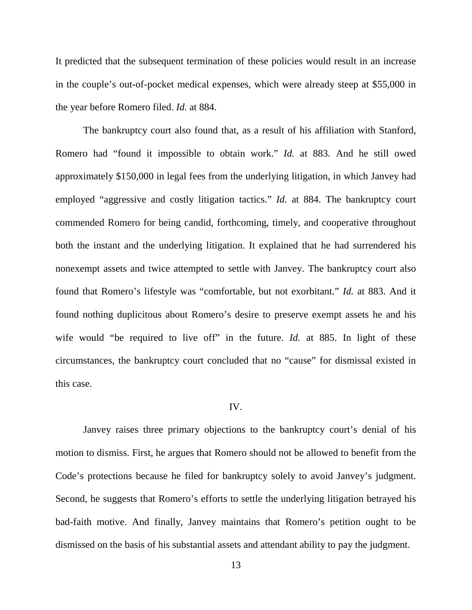It predicted that the subsequent termination of these policies would result in an increase in the couple's out-of-pocket medical expenses, which were already steep at \$55,000 in the year before Romero filed. *Id.* at 884.

The bankruptcy court also found that, as a result of his affiliation with Stanford, Romero had "found it impossible to obtain work." *Id.* at 883. And he still owed approximately \$150,000 in legal fees from the underlying litigation, in which Janvey had employed "aggressive and costly litigation tactics." *Id.* at 884. The bankruptcy court commended Romero for being candid, forthcoming, timely, and cooperative throughout both the instant and the underlying litigation. It explained that he had surrendered his nonexempt assets and twice attempted to settle with Janvey. The bankruptcy court also found that Romero's lifestyle was "comfortable, but not exorbitant." *Id.* at 883. And it found nothing duplicitous about Romero's desire to preserve exempt assets he and his wife would "be required to live off" in the future. *Id.* at 885. In light of these circumstances, the bankruptcy court concluded that no "cause" for dismissal existed in this case.

## IV.

Janvey raises three primary objections to the bankruptcy court's denial of his motion to dismiss. First, he argues that Romero should not be allowed to benefit from the Code's protections because he filed for bankruptcy solely to avoid Janvey's judgment. Second, he suggests that Romero's efforts to settle the underlying litigation betrayed his bad-faith motive. And finally, Janvey maintains that Romero's petition ought to be dismissed on the basis of his substantial assets and attendant ability to pay the judgment.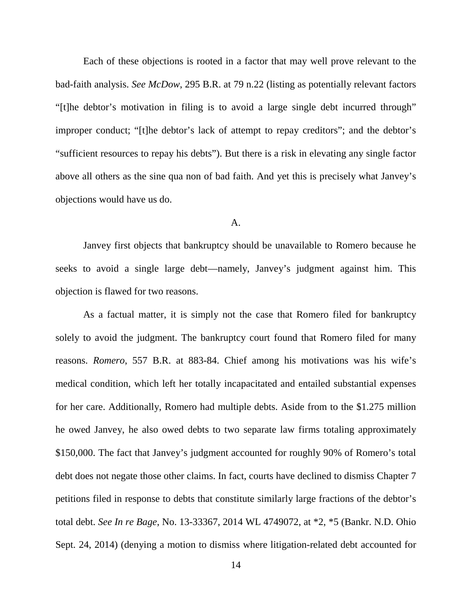Each of these objections is rooted in a factor that may well prove relevant to the bad-faith analysis. *See McDow*, 295 B.R. at 79 n.22 (listing as potentially relevant factors "[t]he debtor's motivation in filing is to avoid a large single debt incurred through" improper conduct; "[t]he debtor's lack of attempt to repay creditors"; and the debtor's "sufficient resources to repay his debts"). But there is a risk in elevating any single factor above all others as the sine qua non of bad faith. And yet this is precisely what Janvey's objections would have us do.

#### A.

Janvey first objects that bankruptcy should be unavailable to Romero because he seeks to avoid a single large debt—namely, Janvey's judgment against him. This objection is flawed for two reasons.

As a factual matter, it is simply not the case that Romero filed for bankruptcy solely to avoid the judgment. The bankruptcy court found that Romero filed for many reasons. *Romero*, 557 B.R. at 883-84. Chief among his motivations was his wife's medical condition, which left her totally incapacitated and entailed substantial expenses for her care. Additionally, Romero had multiple debts. Aside from to the \$1.275 million he owed Janvey, he also owed debts to two separate law firms totaling approximately \$150,000. The fact that Janvey's judgment accounted for roughly 90% of Romero's total debt does not negate those other claims. In fact, courts have declined to dismiss Chapter 7 petitions filed in response to debts that constitute similarly large fractions of the debtor's total debt. *See In re Bage*, No. 13-33367, 2014 WL 4749072, at \*2, \*5 (Bankr. N.D. Ohio Sept. 24, 2014) (denying a motion to dismiss where litigation-related debt accounted for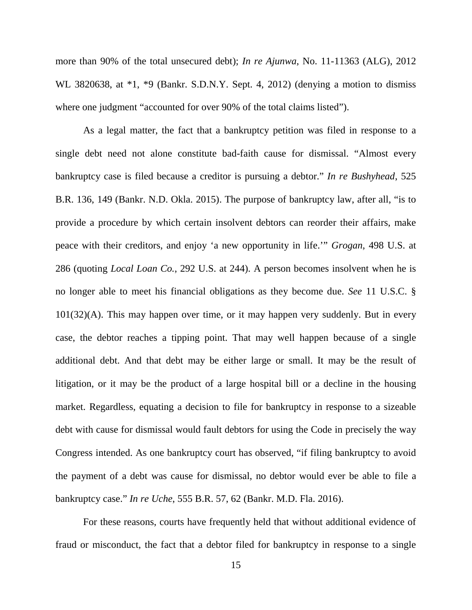more than 90% of the total unsecured debt); *In re Ajunwa*, No. 11-11363 (ALG), 2012 WL 3820638, at  $*1$ ,  $*9$  (Bankr. S.D.N.Y. Sept. 4, 2012) (denying a motion to dismiss where one judgment "accounted for over 90% of the total claims listed").

As a legal matter, the fact that a bankruptcy petition was filed in response to a single debt need not alone constitute bad-faith cause for dismissal. "Almost every bankruptcy case is filed because a creditor is pursuing a debtor." *In re Bushyhead*, 525 B.R. 136, 149 (Bankr. N.D. Okla. 2015). The purpose of bankruptcy law, after all, "is to provide a procedure by which certain insolvent debtors can reorder their affairs, make peace with their creditors, and enjoy 'a new opportunity in life.'" *Grogan*, 498 U.S. at 286 (quoting *Local Loan Co.*, 292 U.S. at 244). A person becomes insolvent when he is no longer able to meet his financial obligations as they become due. *See* 11 U.S.C. § 101(32)(A). This may happen over time, or it may happen very suddenly. But in every case, the debtor reaches a tipping point. That may well happen because of a single additional debt. And that debt may be either large or small. It may be the result of litigation, or it may be the product of a large hospital bill or a decline in the housing market. Regardless, equating a decision to file for bankruptcy in response to a sizeable debt with cause for dismissal would fault debtors for using the Code in precisely the way Congress intended. As one bankruptcy court has observed, "if filing bankruptcy to avoid the payment of a debt was cause for dismissal, no debtor would ever be able to file a bankruptcy case." *In re Uche*, 555 B.R. 57, 62 (Bankr. M.D. Fla. 2016).

For these reasons, courts have frequently held that without additional evidence of fraud or misconduct, the fact that a debtor filed for bankruptcy in response to a single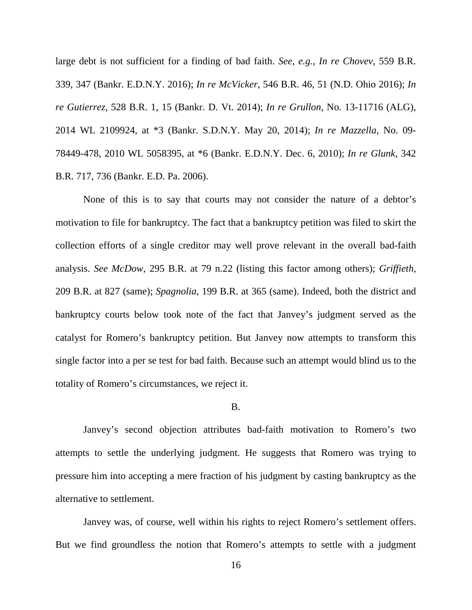large debt is not sufficient for a finding of bad faith. *See, e.g.*, *In re Chovev*, 559 B.R. 339, 347 (Bankr. E.D.N.Y. 2016); *In re McVicker*, 546 B.R. 46, 51 (N.D. Ohio 2016); *In re Gutierrez*, 528 B.R. 1, 15 (Bankr. D. Vt. 2014); *In re Grullon*, No. 13-11716 (ALG), 2014 WL 2109924, at \*3 (Bankr. S.D.N.Y. May 20, 2014); *In re Mazzella*, No. 09- 78449-478, 2010 WL 5058395, at \*6 (Bankr. E.D.N.Y. Dec. 6, 2010); *In re Glunk*, 342 B.R. 717, 736 (Bankr. E.D. Pa. 2006).

None of this is to say that courts may not consider the nature of a debtor's motivation to file for bankruptcy. The fact that a bankruptcy petition was filed to skirt the collection efforts of a single creditor may well prove relevant in the overall bad-faith analysis. *See McDow*, 295 B.R. at 79 n.22 (listing this factor among others); *Griffieth*, 209 B.R. at 827 (same); *Spagnolia*, 199 B.R. at 365 (same). Indeed, both the district and bankruptcy courts below took note of the fact that Janvey's judgment served as the catalyst for Romero's bankruptcy petition. But Janvey now attempts to transform this single factor into a per se test for bad faith. Because such an attempt would blind us to the totality of Romero's circumstances, we reject it.

#### B.

Janvey's second objection attributes bad-faith motivation to Romero's two attempts to settle the underlying judgment. He suggests that Romero was trying to pressure him into accepting a mere fraction of his judgment by casting bankruptcy as the alternative to settlement.

Janvey was, of course, well within his rights to reject Romero's settlement offers. But we find groundless the notion that Romero's attempts to settle with a judgment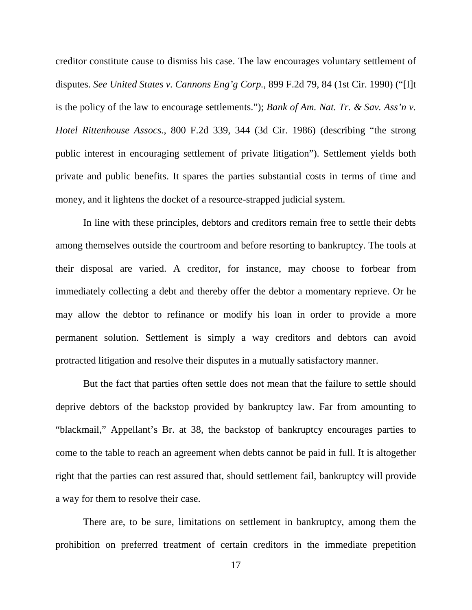creditor constitute cause to dismiss his case. The law encourages voluntary settlement of disputes. *See United States v. Cannons Eng'g Corp.*, 899 F.2d 79, 84 (1st Cir. 1990) ("[I]t is the policy of the law to encourage settlements."); *Bank of Am. Nat. Tr. & Sav. Ass'n v. Hotel Rittenhouse Assocs.*, 800 F.2d 339, 344 (3d Cir. 1986) (describing "the strong public interest in encouraging settlement of private litigation"). Settlement yields both private and public benefits. It spares the parties substantial costs in terms of time and money, and it lightens the docket of a resource-strapped judicial system.

In line with these principles, debtors and creditors remain free to settle their debts among themselves outside the courtroom and before resorting to bankruptcy. The tools at their disposal are varied. A creditor, for instance, may choose to forbear from immediately collecting a debt and thereby offer the debtor a momentary reprieve. Or he may allow the debtor to refinance or modify his loan in order to provide a more permanent solution. Settlement is simply a way creditors and debtors can avoid protracted litigation and resolve their disputes in a mutually satisfactory manner.

But the fact that parties often settle does not mean that the failure to settle should deprive debtors of the backstop provided by bankruptcy law. Far from amounting to "blackmail," Appellant's Br. at 38, the backstop of bankruptcy encourages parties to come to the table to reach an agreement when debts cannot be paid in full. It is altogether right that the parties can rest assured that, should settlement fail, bankruptcy will provide a way for them to resolve their case.

There are, to be sure, limitations on settlement in bankruptcy, among them the prohibition on preferred treatment of certain creditors in the immediate prepetition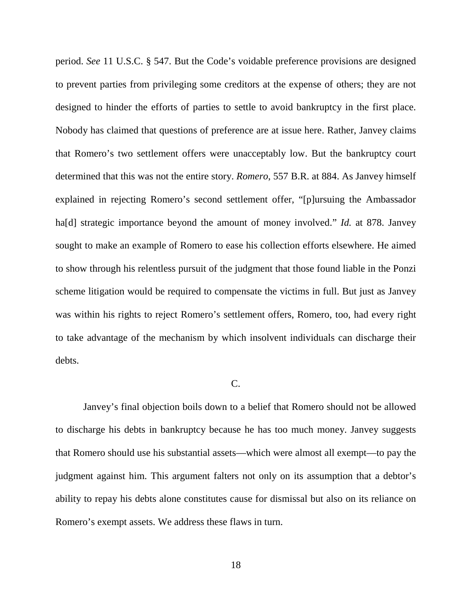period. *See* 11 U.S.C. § 547. But the Code's voidable preference provisions are designed to prevent parties from privileging some creditors at the expense of others; they are not designed to hinder the efforts of parties to settle to avoid bankruptcy in the first place. Nobody has claimed that questions of preference are at issue here. Rather, Janvey claims that Romero's two settlement offers were unacceptably low. But the bankruptcy court determined that this was not the entire story. *Romero*, 557 B.R. at 884. As Janvey himself explained in rejecting Romero's second settlement offer, "[p]ursuing the Ambassador ha<sup>[d]</sup> strategic importance beyond the amount of money involved." *Id.* at 878. Janvey sought to make an example of Romero to ease his collection efforts elsewhere. He aimed to show through his relentless pursuit of the judgment that those found liable in the Ponzi scheme litigation would be required to compensate the victims in full. But just as Janvey was within his rights to reject Romero's settlement offers, Romero, too, had every right to take advantage of the mechanism by which insolvent individuals can discharge their debts.

### C.

Janvey's final objection boils down to a belief that Romero should not be allowed to discharge his debts in bankruptcy because he has too much money. Janvey suggests that Romero should use his substantial assets—which were almost all exempt—to pay the judgment against him. This argument falters not only on its assumption that a debtor's ability to repay his debts alone constitutes cause for dismissal but also on its reliance on Romero's exempt assets. We address these flaws in turn.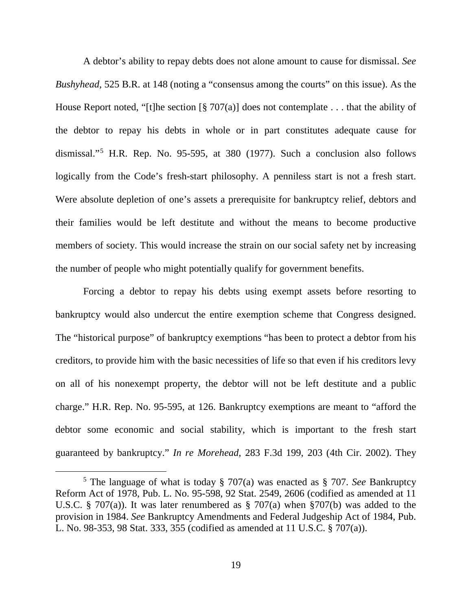A debtor's ability to repay debts does not alone amount to cause for dismissal. *See Bushyhead*, 525 B.R. at 148 (noting a "consensus among the courts" on this issue). As the House Report noted, "[t]he section  $\lceil \frac{8}{9} \cdot 707(a) \rceil$  does not contemplate ... that the ability of the debtor to repay his debts in whole or in part constitutes adequate cause for dismissal."[5](#page-18-0) H.R. Rep. No. 95-595, at 380 (1977). Such a conclusion also follows logically from the Code's fresh-start philosophy. A penniless start is not a fresh start. Were absolute depletion of one's assets a prerequisite for bankruptcy relief, debtors and their families would be left destitute and without the means to become productive members of society. This would increase the strain on our social safety net by increasing the number of people who might potentially qualify for government benefits.

Forcing a debtor to repay his debts using exempt assets before resorting to bankruptcy would also undercut the entire exemption scheme that Congress designed. The "historical purpose" of bankruptcy exemptions "has been to protect a debtor from his creditors, to provide him with the basic necessities of life so that even if his creditors levy on all of his nonexempt property, the debtor will not be left destitute and a public charge." H.R. Rep. No. 95-595, at 126. Bankruptcy exemptions are meant to "afford the debtor some economic and social stability, which is important to the fresh start guaranteed by bankruptcy." *In re Morehead*, 283 F.3d 199, 203 (4th Cir. 2002). They

<span id="page-18-0"></span> <sup>5</sup> The language of what is today § 707(a) was enacted as § 707. *See* Bankruptcy Reform Act of 1978, Pub. L. No. 95-598, 92 Stat. 2549, 2606 (codified as amended at 11 U.S.C. § 707(a)). It was later renumbered as § 707(a) when §707(b) was added to the provision in 1984. *See* Bankruptcy Amendments and Federal Judgeship Act of 1984, Pub. L. No. 98-353, 98 Stat. 333, 355 (codified as amended at 11 U.S.C. § 707(a)).